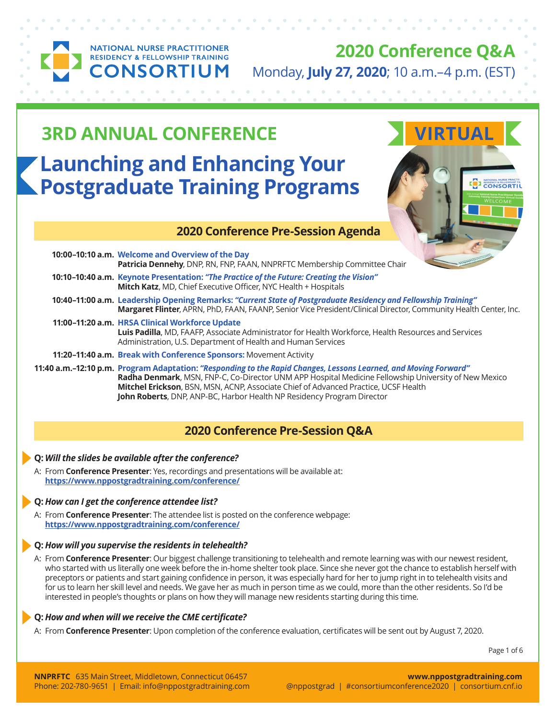

**NATIONAL NURSE PRACTITIONER RESIDENCY & FELLOWSHIP TRAINING NSORTIUM** 

**2020 Conference Q&A** Monday, **July 27, 2020**; 10 a.m.–4 p.m. (EST)

# **Launching and Enhancing Your Postgraduate Training Programs 3RD ANNUAL CONFERENCE AND ANNUAL VIRTUAL**

## **2020 Conference Pre-Session Agenda**

| 10:00-10:10 a.m. Welcome and Overview of the Day<br>Patricia Dennehy, DNP, RN, FNP, FAAN, NNPRFTC Membership Committee Chair                                                                                                                                                                                    |
|-----------------------------------------------------------------------------------------------------------------------------------------------------------------------------------------------------------------------------------------------------------------------------------------------------------------|
| 10:10-10:40 a.m. Keynote Presentation: "The Practice of the Future: Creating the Vision"<br>Mitch Katz, MD, Chief Executive Officer, NYC Health + Hospitals                                                                                                                                                     |
| 10:40-11:00 a.m. Leadership Opening Remarks: "Current State of Postgraduate Residency and Fellowship Training"<br>Margaret Flinter, APRN, PhD, FAAN, FAANP, Senior Vice President/Clinical Director, Community Health Center, Inc.                                                                              |
| 11:00-11:20 a.m. HRSA Clinical Workforce Update<br>Luis Padilla, MD, FAAFP, Associate Administrator for Health Workforce, Health Resources and Services<br>Administration, U.S. Department of Health and Human Services                                                                                         |
| 11:20-11:40 a.m. Break with Conference Sponsors: Movement Activity                                                                                                                                                                                                                                              |
| 11:40 a.m.-12:10 p.m. Program Adaptation: "Responding to the Rapid Changes, Lessons Learned, and Moving Forward"<br>Radha Denmark, MSN, FNP-C, Co-Director UNM APP Hospital Medicine Fellowship University of New Mexico<br>Mitchel Erickson, BSN, MSN, ACNP, Associate Chief of Advanced Practice, UCSF Health |

**Mitchel Erickson**, BSN, MSN, ACNP, Associate Chief of Advanced Practice, UCSF Health **John Roberts**, DNP, ANP-BC, Harbor Health NP Residency Program Director

## **2020 Conference Pre-Session Q&A**

#### **Q:** *Will the slides be available after the conference?*

A: From **Conference Presenter**: Yes, recordings and presentations will be available at: **https://www.nppostgradtraining.com/conference/**

## **Q:** *How can I get the conference attendee list?*

A: From **Conference Presenter**: The attendee list is posted on the conference webpage: **https://www.nppostgradtraining.com/conference/**

## **Q:** *How will you supervise the residents in telehealth?*

A: From **Conference Presenter**: Our biggest challenge transitioning to telehealth and remote learning was with our newest resident, who started with us literally one week before the in-home shelter took place. Since she never got the chance to establish herself with preceptors or patients and start gaining confidence in person, it was especially hard for her to jump right in to telehealth visits and for us to learn her skill level and needs. We gave her as much in person time as we could, more than the other residents. So I'd be interested in people's thoughts or plans on how they will manage new residents starting during this time.

#### **Q:** *How and when will we receive the CME certificate?*

A: From **Conference Presenter**: Upon completion of the conference evaluation, certificates will be sent out by August 7, 2020.

Page 1 of 6

**I RESIDENCY & FELLOWSHIP T**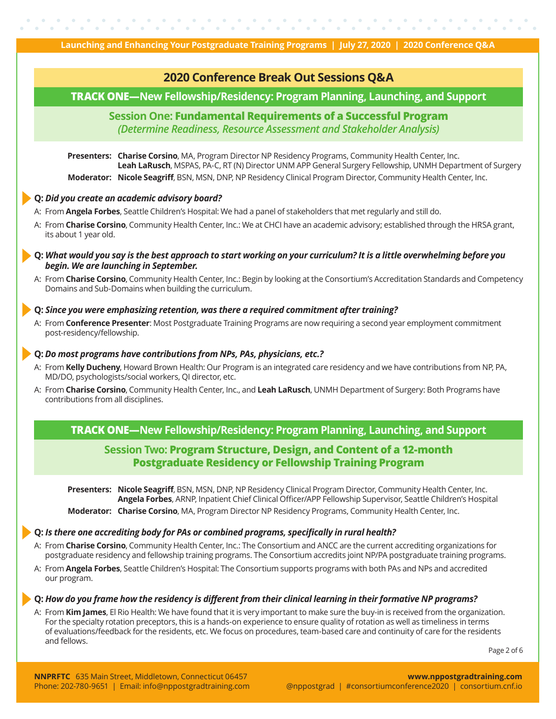



**NNPRFTC** 635 Main Street, Middletown, Connecticut 06457 Phone: 202-780-9651 | Email: [info@nppostgradtraining.com](mailto:info%40nppostgradtraining.com?subject=)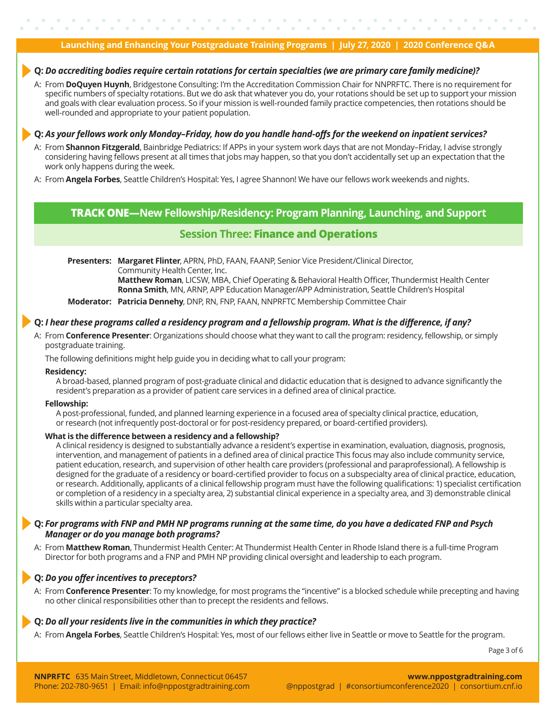#### **Q:** *Do accrediting bodies require certain rotations for certain specialties (we are primary care family medicine)?*

A: From **DoQuyen Huynh**, Bridgestone Consulting: I'm the Accreditation Commission Chair for NNPRFTC. There is no requirement for specific numbers of specialty rotations. But we do ask that whatever you do, your rotations should be set up to support your mission and goals with clear evaluation process. So if your mission is well-rounded family practice competencies, then rotations should be well-rounded and appropriate to your patient population.

#### **Q:** *As your fellows work only Monday–Friday, how do you handle hand-offs for the weekend on inpatient services?*

- A: From **Shannon Fitzgerald**, Bainbridge Pediatrics: If APPs in your system work days that are not Monday–Friday, I advise strongly considering having fellows present at all times that jobs may happen, so that you don't accidentally set up an expectation that the work only happens during the week.
- A: From **Angela Forbes**, Seattle Children's Hospital: Yes, I agree Shannon! We have our fellows work weekends and nights.

## **TRACK ONE—New Fellowship/Residency: Program Planning, Launching, and Support**

## **Session Three: Finance and Operations**

**Presenters: Margaret Flinter**, APRN, PhD, FAAN, FAANP, Senior Vice President/Clinical Director, Community Health Center, Inc.

 **Matthew Roman**, LICSW, MBA, Chief Operating & Behavioral Health Officer, Thundermist Health Center **Ronna Smith**, MN, ARNP, APP Education Manager/APP Administration, Seattle Children's Hospital

**Moderator: Patricia Dennehy**, DNP, RN, FNP, FAAN, NNPRFTC Membership Committee Chair

#### **Q:** *I hear these programs called a residency program and a fellowship program. What is the difference, if any?*

A: From **Conference Presenter**: Organizations should choose what they want to call the program: residency, fellowship, or simply postgraduate training.

The following definitions might help guide you in deciding what to call your program:

#### **Residency:**

A broad-based, planned program of post-graduate clinical and didactic education that is designed to advance significantly the resident's preparation as a provider of patient care services in a defined area of clinical practice.

#### **Fellowship:**

A post-professional, funded, and planned learning experience in a focused area of specialty clinical practice, education, or research (not infrequently post-doctoral or for post-residency prepared, or board-certified providers).

#### **What is the difference between a residency and a fellowship?**

A clinical residency is designed to substantially advance a resident's expertise in examination, evaluation, diagnosis, prognosis, intervention, and management of patients in a defined area of clinical practice This focus may also include community service, patient education, research, and supervision of other health care providers (professional and paraprofessional). A fellowship is designed for the graduate of a residency or board-certified provider to focus on a subspecialty area of clinical practice, education, or research. Additionally, applicants of a clinical fellowship program must have the following qualifications: 1) specialist certification or completion of a residency in a specialty area, 2) substantial clinical experience in a specialty area, and 3) demonstrable clinical skills within a particular specialty area.

#### **Q:** *For programs with FNP and PMH NP programs running at the same time, do you have a dedicated FNP and Psych Manager or do you manage both programs?*

A: From **Matthew Roman**, Thundermist Health Center: At Thundermist Health Center in Rhode Island there is a full-time Program Director for both programs and a FNP and PMH NP providing clinical oversight and leadership to each program.

#### **Q:** *Do you offer incentives to preceptors?*

A: From **Conference Presenter**: To my knowledge, for most programs the "incentive" is a blocked schedule while precepting and having no other clinical responsibilities other than to precept the residents and fellows.

#### **Q:** *Do all your residents live in the communities in which they practice?*

A: From **Angela Forbes**, Seattle Children's Hospital: Yes, most of our fellows either live in Seattle or move to Seattle for the program.

Page 3 of 6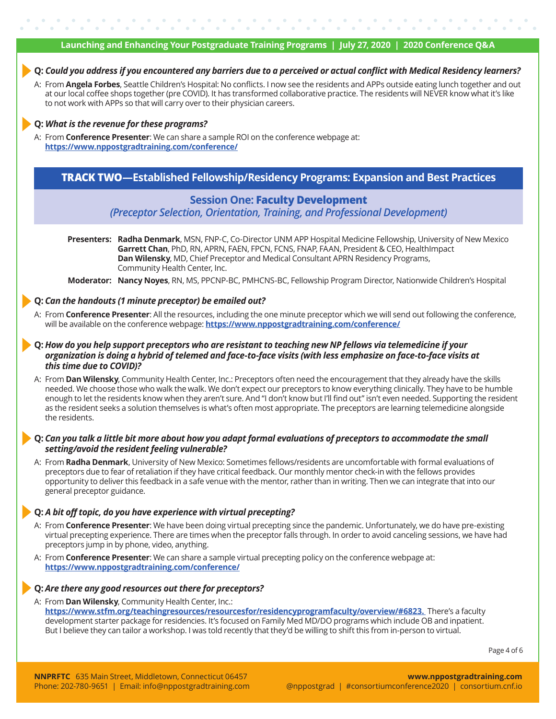#### **Q:** *Could you address if you encountered any barriers due to a perceived or actual conflict with Medical Residency learners?*

A: From **Angela Forbes**, Seattle Children's Hospital: No conflicts. I now see the residents and APPs outside eating lunch together and out at our local coffee shops together (pre COVID). It has transformed collaborative practice. The residents will NEVER know what it's like to not work with APPs so that will carry over to their physician careers.

#### **Q:** *What is the revenue for these programs?*

A: From **Conference Presenter**: We can share a sample ROI on the conference webpage at: **https://www.nppostgradtraining.com/conference/**

## **TRACK TWO—Established Fellowship/Residency Programs: Expansion and Best Practices**

## **Session One: Faculty Development**

*(Preceptor Selection, Orientation, Training, and Professional Development)*

**Presenters: Radha Denmark**, MSN, FNP-C, Co-Director UNM APP Hospital Medicine Fellowship, University of New Mexico **Garrett Chan**, PhD, RN, APRN, FAEN, FPCN, FCNS, FNAP, FAAN, President & CEO, HealthImpact **Dan Wilensky**, MD, Chief Preceptor and Medical Consultant APRN Residency Programs, Community Health Center, Inc.

**Moderator: Nancy Noyes**, RN, MS, PPCNP-BC, PMHCNS-BC, Fellowship Program Director, Nationwide Children's Hospital

#### **Q:** *Can the handouts (1 minute preceptor) be emailed out?*

- A: From **Conference Presenter**: All the resources, including the one minute preceptor which we will send out following the conference, will be available on the conference webpage: **https://www.nppostgradtraining.com/conference/**
- **Q:** *How do you help support preceptors who are resistant to teaching new NP fellows via telemedicine if your organization is doing a hybrid of telemed and face-to-face visits (with less emphasize on face-to-face visits at this time due to COVID)?*
- A: From **Dan Wilensky**, Community Health Center, Inc.: Preceptors often need the encouragement that they already have the skills needed. We choose those who walk the walk. We don't expect our preceptors to know everything clinically. They have to be humble enough to let the residents know when they aren't sure. And "I don't know but I'll find out" isn't even needed. Supporting the resident as the resident seeks a solution themselves is what's often most appropriate. The preceptors are learning telemedicine alongside the residents.

#### **Q:** *Can you talk a little bit more about how you adapt formal evaluations of preceptors to accommodate the small setting/avoid the resident feeling vulnerable?*

A: From **Radha Denmark**, University of New Mexico: Sometimes fellows/residents are uncomfortable with formal evaluations of preceptors due to fear of retaliation if they have critical feedback. Our monthly mentor check-in with the fellows provides opportunity to deliver this feedback in a safe venue with the mentor, rather than in writing. Then we can integrate that into our general preceptor guidance.

#### **Q:** *A bit off topic, do you have experience with virtual precepting?*

- A: From **Conference Presenter**: We have been doing virtual precepting since the pandemic. Unfortunately, we do have pre-existing virtual precepting experience. There are times when the preceptor falls through. In order to avoid canceling sessions, we have had preceptors jump in by phone, video, anything.
- A: From **Conference Presenter**: We can share a sample virtual precepting policy on the conference webpage at: **https://www.nppostgradtraining.com/conference/**

#### **Q:** *Are there any good resources out there for preceptors?*

A: From **Dan Wilensky**, Community Health Center, Inc.:

**https://www.stfm.org/teachingresources/resourcesfor/residencyprogramfaculty/overview/#6823.** There's a faculty development starter package for residencies. It's focused on Family Med MD/DO programs which include OB and inpatient. But I believe they can tailor a workshop. I was told recently that they'd be willing to shift this from in-person to virtual.

Page 4 of 6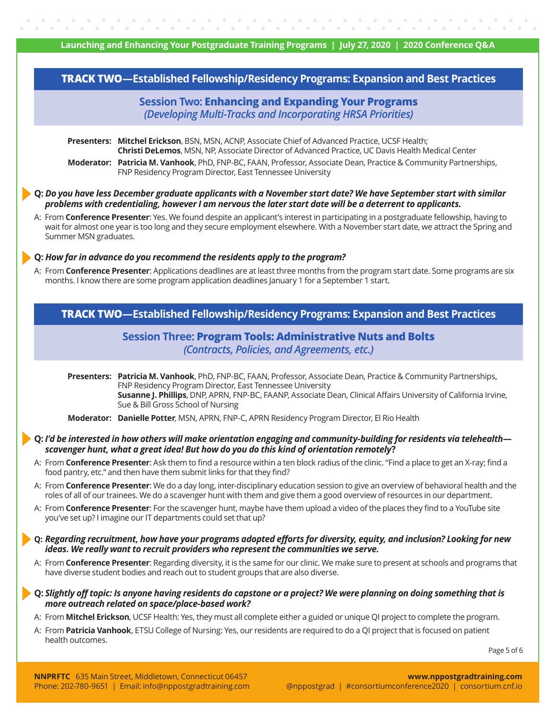